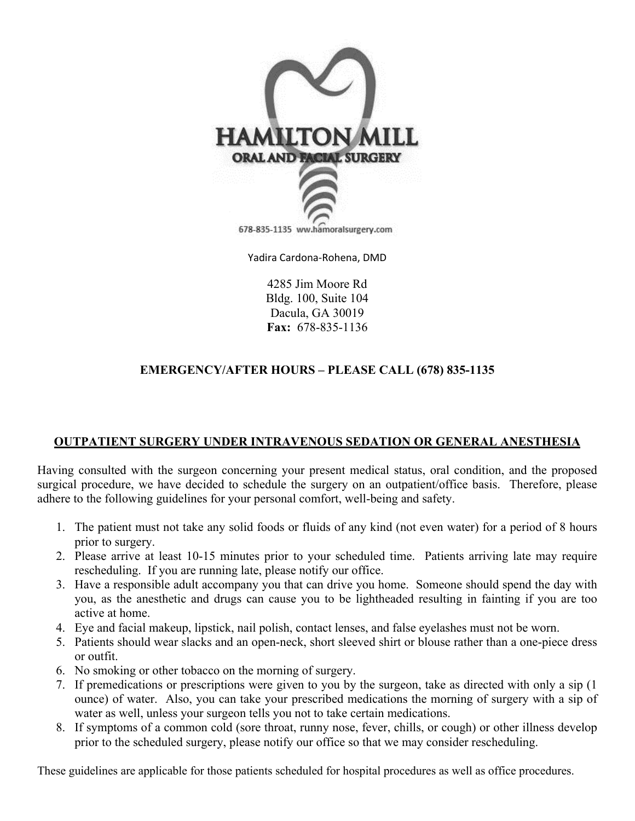

Yadira Cardona-Rohena, DMD

4285 Jim Moore Rd Bldg. 100, Suite 104 Dacula, GA 30019 **Fax:** 678-835-1136

## **EMERGENCY/AFTER HOURS – PLEASE CALL (678) 835-1135**

#### **OUTPATIENT SURGERY UNDER INTRAVENOUS SEDATION OR GENERAL ANESTHESIA**

Having consulted with the surgeon concerning your present medical status, oral condition, and the proposed surgical procedure, we have decided to schedule the surgery on an outpatient/office basis. Therefore, please adhere to the following guidelines for your personal comfort, well-being and safety.

- 1. The patient must not take any solid foods or fluids of any kind (not even water) for a period of 8 hours prior to surgery.
- 2. Please arrive at least 10-15 minutes prior to your scheduled time. Patients arriving late may require rescheduling. If you are running late, please notify our office.
- 3. Have a responsible adult accompany you that can drive you home. Someone should spend the day with you, as the anesthetic and drugs can cause you to be lightheaded resulting in fainting if you are too active at home.
- 4. Eye and facial makeup, lipstick, nail polish, contact lenses, and false eyelashes must not be worn.
- 5. Patients should wear slacks and an open-neck, short sleeved shirt or blouse rather than a one-piece dress or outfit.
- 6. No smoking or other tobacco on the morning of surgery.
- 7. If premedications or prescriptions were given to you by the surgeon, take as directed with only a sip (1 ounce) of water. Also, you can take your prescribed medications the morning of surgery with a sip of water as well, unless your surgeon tells you not to take certain medications.
- 8. If symptoms of a common cold (sore throat, runny nose, fever, chills, or cough) or other illness develop prior to the scheduled surgery, please notify our office so that we may consider rescheduling.

These guidelines are applicable for those patients scheduled for hospital procedures as well as office procedures.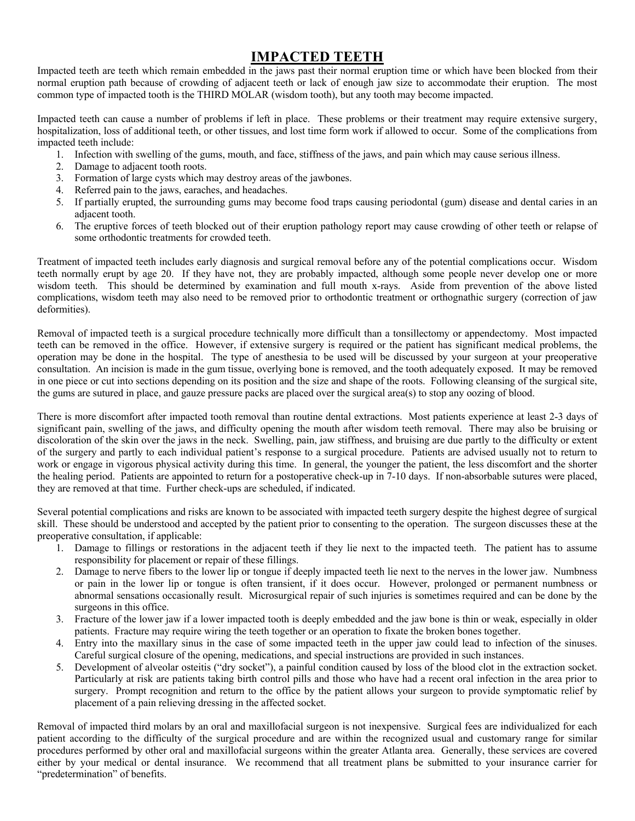# **IMPACTED TEETH**

Impacted teeth are teeth which remain embedded in the jaws past their normal eruption time or which have been blocked from their normal eruption path because of crowding of adjacent teeth or lack of enough jaw size to accommodate their eruption. The most common type of impacted tooth is the THIRD MOLAR (wisdom tooth), but any tooth may become impacted.

Impacted teeth can cause a number of problems if left in place. These problems or their treatment may require extensive surgery, hospitalization, loss of additional teeth, or other tissues, and lost time form work if allowed to occur. Some of the complications from impacted teeth include:

- 1. Infection with swelling of the gums, mouth, and face, stiffness of the jaws, and pain which may cause serious illness.
- 2. Damage to adjacent tooth roots.
- 3. Formation of large cysts which may destroy areas of the jawbones.
- 4. Referred pain to the jaws, earaches, and headaches.
- 5. If partially erupted, the surrounding gums may become food traps causing periodontal (gum) disease and dental caries in an adjacent tooth.
- 6. The eruptive forces of teeth blocked out of their eruption pathology report may cause crowding of other teeth or relapse of some orthodontic treatments for crowded teeth.

Treatment of impacted teeth includes early diagnosis and surgical removal before any of the potential complications occur. Wisdom teeth normally erupt by age 20. If they have not, they are probably impacted, although some people never develop one or more wisdom teeth. This should be determined by examination and full mouth x-rays. Aside from prevention of the above listed complications, wisdom teeth may also need to be removed prior to orthodontic treatment or orthognathic surgery (correction of jaw deformities).

Removal of impacted teeth is a surgical procedure technically more difficult than a tonsillectomy or appendectomy. Most impacted teeth can be removed in the office. However, if extensive surgery is required or the patient has significant medical problems, the operation may be done in the hospital. The type of anesthesia to be used will be discussed by your surgeon at your preoperative consultation. An incision is made in the gum tissue, overlying bone is removed, and the tooth adequately exposed. It may be removed in one piece or cut into sections depending on its position and the size and shape of the roots. Following cleansing of the surgical site, the gums are sutured in place, and gauze pressure packs are placed over the surgical area(s) to stop any oozing of blood.

There is more discomfort after impacted tooth removal than routine dental extractions. Most patients experience at least 2-3 days of significant pain, swelling of the jaws, and difficulty opening the mouth after wisdom teeth removal. There may also be bruising or discoloration of the skin over the jaws in the neck. Swelling, pain, jaw stiffness, and bruising are due partly to the difficulty or extent of the surgery and partly to each individual patient's response to a surgical procedure. Patients are advised usually not to return to work or engage in vigorous physical activity during this time. In general, the younger the patient, the less discomfort and the shorter the healing period. Patients are appointed to return for a postoperative check-up in 7-10 days. If non-absorbable sutures were placed, they are removed at that time. Further check-ups are scheduled, if indicated.

Several potential complications and risks are known to be associated with impacted teeth surgery despite the highest degree of surgical skill. These should be understood and accepted by the patient prior to consenting to the operation. The surgeon discusses these at the preoperative consultation, if applicable:

- 1. Damage to fillings or restorations in the adjacent teeth if they lie next to the impacted teeth. The patient has to assume responsibility for placement or repair of these fillings.
- 2. Damage to nerve fibers to the lower lip or tongue if deeply impacted teeth lie next to the nerves in the lower jaw. Numbness or pain in the lower lip or tongue is often transient, if it does occur. However, prolonged or permanent numbness or abnormal sensations occasionally result. Microsurgical repair of such injuries is sometimes required and can be done by the surgeons in this office.
- 3. Fracture of the lower jaw if a lower impacted tooth is deeply embedded and the jaw bone is thin or weak, especially in older patients. Fracture may require wiring the teeth together or an operation to fixate the broken bones together.
- 4. Entry into the maxillary sinus in the case of some impacted teeth in the upper jaw could lead to infection of the sinuses. Careful surgical closure of the opening, medications, and special instructions are provided in such instances.
- 5. Development of alveolar osteitis ("dry socket"), a painful condition caused by loss of the blood clot in the extraction socket. Particularly at risk are patients taking birth control pills and those who have had a recent oral infection in the area prior to surgery. Prompt recognition and return to the office by the patient allows your surgeon to provide symptomatic relief by placement of a pain relieving dressing in the affected socket.

Removal of impacted third molars by an oral and maxillofacial surgeon is not inexpensive. Surgical fees are individualized for each patient according to the difficulty of the surgical procedure and are within the recognized usual and customary range for similar procedures performed by other oral and maxillofacial surgeons within the greater Atlanta area. Generally, these services are covered either by your medical or dental insurance. We recommend that all treatment plans be submitted to your insurance carrier for "predetermination" of benefits.